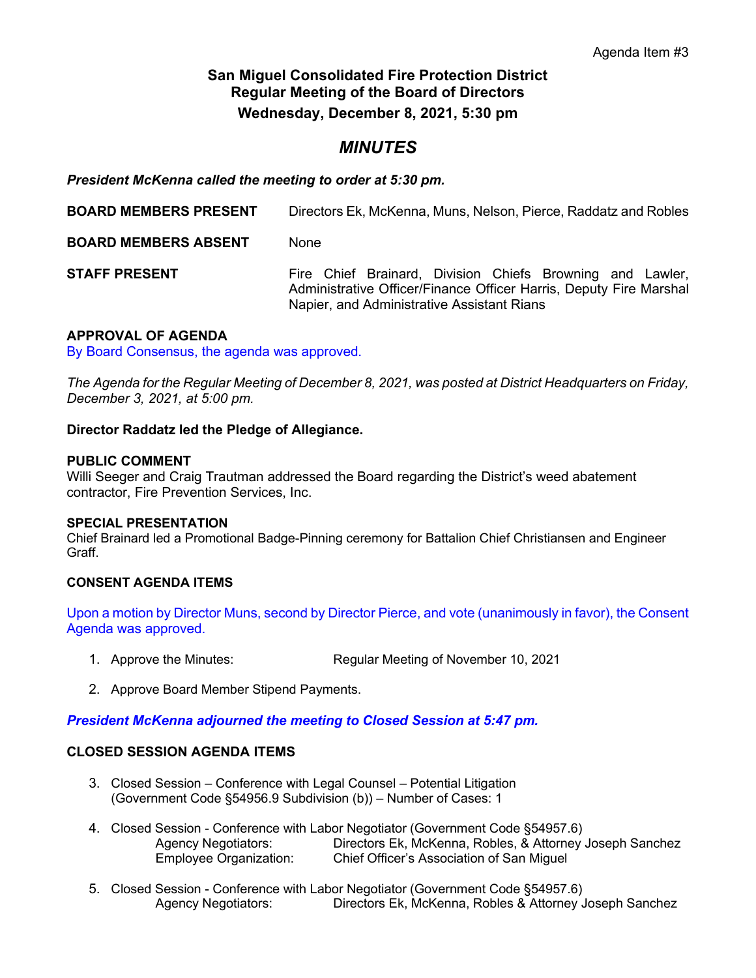# **San Miguel Consolidated Fire Protection District Regular Meeting of the Board of Directors Wednesday, December 8, 2021, 5:30 pm**

# *MINUTES*

*President McKenna called the meeting to order at 5:30 pm.*

| <b>BOARD MEMBERS PRESENT</b> | Directors Ek, McKenna, Muns, Nelson, Pierce, Raddatz and Robles                                                                                                               |
|------------------------------|-------------------------------------------------------------------------------------------------------------------------------------------------------------------------------|
| <b>BOARD MEMBERS ABSENT</b>  | None                                                                                                                                                                          |
| <b>STAFF PRESENT</b>         | Fire Chief Brainard, Division Chiefs Browning and Lawler,<br>Administrative Officer/Finance Officer Harris, Deputy Fire Marshal<br>Napier, and Administrative Assistant Rians |

# **APPROVAL OF AGENDA**

By Board Consensus, the agenda was approved.

*The Agenda for the Regular Meeting of December 8, 2021, was posted at District Headquarters on Friday, December 3, 2021, at 5:00 pm.*

# **Director Raddatz led the Pledge of Allegiance.**

# **PUBLIC COMMENT**

Willi Seeger and Craig Trautman addressed the Board regarding the District's weed abatement contractor, Fire Prevention Services, Inc.

# **SPECIAL PRESENTATION**

Chief Brainard led a Promotional Badge-Pinning ceremony for Battalion Chief Christiansen and Engineer Graff.

# **CONSENT AGENDA ITEMS**

Upon a motion by Director Muns, second by Director Pierce, and vote (unanimously in favor), the Consent Agenda was approved.

- 1. Approve the Minutes: Regular Meeting of November 10, 2021
- 2. Approve Board Member Stipend Payments.

*President McKenna adjourned the meeting to Closed Session at 5:47 pm.*

# **CLOSED SESSION AGENDA ITEMS**

- 3. Closed Session Conference with Legal Counsel Potential Litigation (Government Code §54956.9 Subdivision (b)) – Number of Cases: 1
- 4. Closed Session Conference with Labor Negotiator (Government Code §54957.6)<br>Agency Negotiators: Directors Ek, McKenna, Robles, & Attorney Agency Negotiators: Directors Ek, McKenna, Robles, & Attorney Joseph Sanchez Chief Officer's Association of San Miguel
- 5. Closed Session Conference with Labor Negotiator (Government Code §54957.6) Agency Negotiators: Directors Ek, McKenna, Robles & Attorney Joseph Sanchez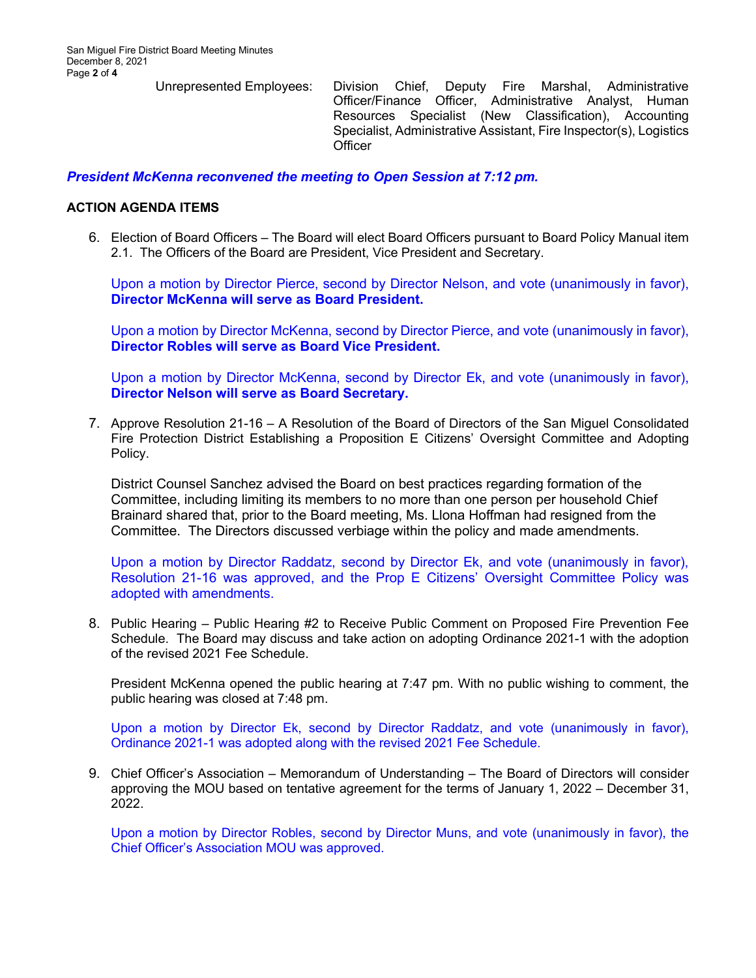Unrepresented Employees: Division Chief, Deputy Fire Marshal, Administrative Officer/Finance Officer, Administrative Analyst, Human Resources Specialist (New Classification), Accounting Specialist, Administrative Assistant, Fire Inspector(s), Logistics **Officer** 

# *President McKenna reconvened the meeting to Open Session at 7:12 pm.*

### **ACTION AGENDA ITEMS**

6. Election of Board Officers – The Board will elect Board Officers pursuant to Board Policy Manual item 2.1. The Officers of the Board are President, Vice President and Secretary.

Upon a motion by Director Pierce, second by Director Nelson, and vote (unanimously in favor), **Director McKenna will serve as Board President.**

Upon a motion by Director McKenna, second by Director Pierce, and vote (unanimously in favor), **Director Robles will serve as Board Vice President.**

Upon a motion by Director McKenna, second by Director Ek, and vote (unanimously in favor), **Director Nelson will serve as Board Secretary.**

7. Approve Resolution 21-16 – A Resolution of the Board of Directors of the San Miguel Consolidated Fire Protection District Establishing a Proposition E Citizens' Oversight Committee and Adopting Policy.

District Counsel Sanchez advised the Board on best practices regarding formation of the Committee, including limiting its members to no more than one person per household Chief Brainard shared that, prior to the Board meeting, Ms. Llona Hoffman had resigned from the Committee. The Directors discussed verbiage within the policy and made amendments.

Upon a motion by Director Raddatz, second by Director Ek, and vote (unanimously in favor), Resolution 21-16 was approved, and the Prop E Citizens' Oversight Committee Policy was adopted with amendments.

8. Public Hearing – Public Hearing #2 to Receive Public Comment on Proposed Fire Prevention Fee Schedule. The Board may discuss and take action on adopting Ordinance 2021-1 with the adoption of the revised 2021 Fee Schedule.

President McKenna opened the public hearing at 7:47 pm. With no public wishing to comment, the public hearing was closed at 7:48 pm.

Upon a motion by Director Ek, second by Director Raddatz, and vote (unanimously in favor), Ordinance 2021-1 was adopted along with the revised 2021 Fee Schedule.

9. Chief Officer's Association – Memorandum of Understanding – The Board of Directors will consider approving the MOU based on tentative agreement for the terms of January 1, 2022 – December 31, 2022.

Upon a motion by Director Robles, second by Director Muns, and vote (unanimously in favor), the Chief Officer's Association MOU was approved.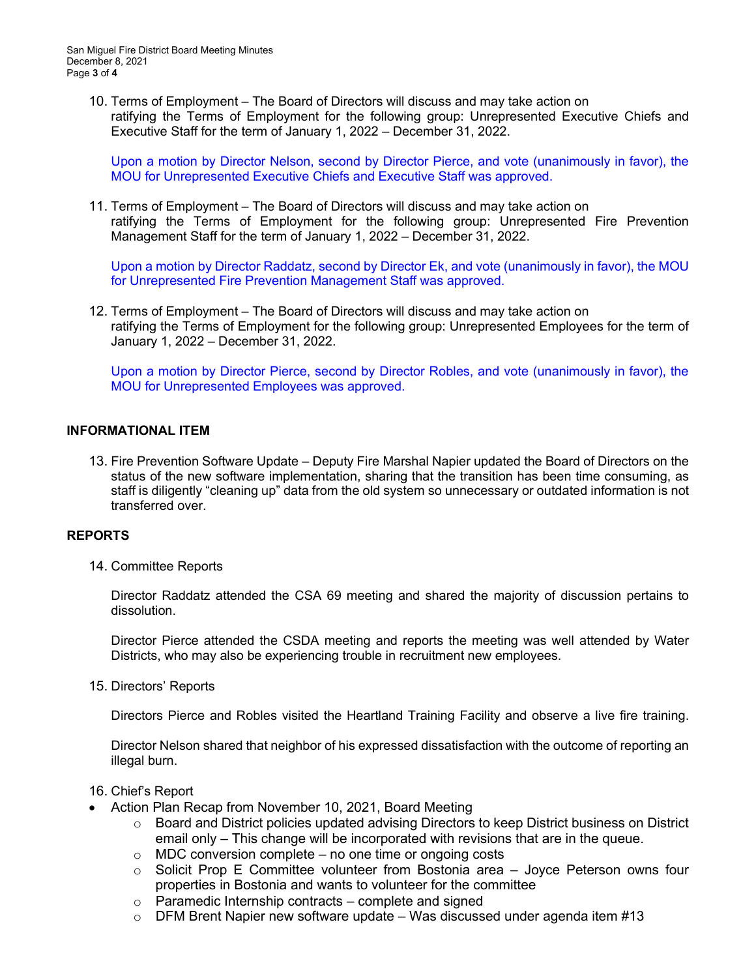10. Terms of Employment – The Board of Directors will discuss and may take action on ratifying the Terms of Employment for the following group: Unrepresented Executive Chiefs and Executive Staff for the term of January 1, 2022 – December 31, 2022.

Upon a motion by Director Nelson, second by Director Pierce, and vote (unanimously in favor), the MOU for Unrepresented Executive Chiefs and Executive Staff was approved.

11. Terms of Employment – The Board of Directors will discuss and may take action on ratifying the Terms of Employment for the following group: Unrepresented Fire Prevention Management Staff for the term of January 1, 2022 – December 31, 2022.

Upon a motion by Director Raddatz, second by Director Ek, and vote (unanimously in favor), the MOU for Unrepresented Fire Prevention Management Staff was approved.

12. Terms of Employment – The Board of Directors will discuss and may take action on ratifying the Terms of Employment for the following group: Unrepresented Employees for the term of January 1, 2022 – December 31, 2022.

Upon a motion by Director Pierce, second by Director Robles, and vote (unanimously in favor), the MOU for Unrepresented Employees was approved.

### **INFORMATIONAL ITEM**

13. Fire Prevention Software Update – Deputy Fire Marshal Napier updated the Board of Directors on the status of the new software implementation, sharing that the transition has been time consuming, as staff is diligently "cleaning up" data from the old system so unnecessary or outdated information is not transferred over.

#### **REPORTS**

14. Committee Reports

Director Raddatz attended the CSA 69 meeting and shared the majority of discussion pertains to dissolution.

Director Pierce attended the CSDA meeting and reports the meeting was well attended by Water Districts, who may also be experiencing trouble in recruitment new employees.

15. Directors' Reports

Directors Pierce and Robles visited the Heartland Training Facility and observe a live fire training.

Director Nelson shared that neighbor of his expressed dissatisfaction with the outcome of reporting an illegal burn.

#### 16. Chief's Report

- Action Plan Recap from November 10, 2021, Board Meeting
	- $\circ$  Board and District policies updated advising Directors to keep District business on District email only – This change will be incorporated with revisions that are in the queue.
	- $\circ$  MDC conversion complete no one time or ongoing costs
	- $\circ$  Solicit Prop E Committee volunteer from Bostonia area  $-$  Joyce Peterson owns four properties in Bostonia and wants to volunteer for the committee
	- $\circ$  Paramedic Internship contracts complete and signed
	- $\circ$  DFM Brent Napier new software update Was discussed under agenda item #13